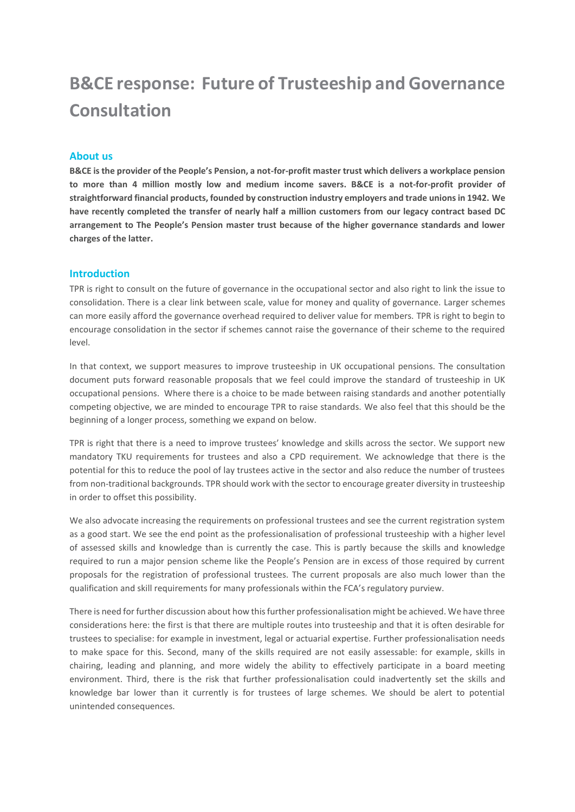# **B&CE response: Future of Trusteeship and Governance Consultation**

### **About us**

**B&CE is the provider of the People's Pension, a not-for-profit master trust which delivers a workplace pension to more than 4 million mostly low and medium income savers. B&CE is a not-for-profit provider of straightforward financial products, founded by construction industry employers and trade unions in 1942. We have recently completed the transfer of nearly half a million customers from our legacy contract based DC arrangement to The People's Pension master trust because of the higher governance standards and lower charges of the latter.**

### **Introduction**

TPR is right to consult on the future of governance in the occupational sector and also right to link the issue to consolidation. There is a clear link between scale, value for money and quality of governance. Larger schemes can more easily afford the governance overhead required to deliver value for members. TPR is right to begin to encourage consolidation in the sector if schemes cannot raise the governance of their scheme to the required level.

In that context, we support measures to improve trusteeship in UK occupational pensions. The consultation document puts forward reasonable proposals that we feel could improve the standard of trusteeship in UK occupational pensions. Where there is a choice to be made between raising standards and another potentially competing objective, we are minded to encourage TPR to raise standards. We also feel that this should be the beginning of a longer process, something we expand on below.

TPR is right that there is a need to improve trustees' knowledge and skills across the sector. We support new mandatory TKU requirements for trustees and also a CPD requirement. We acknowledge that there is the potential for this to reduce the pool of lay trustees active in the sector and also reduce the number of trustees from non-traditional backgrounds. TPR should work with the sector to encourage greater diversity in trusteeship in order to offset this possibility.

We also advocate increasing the requirements on professional trustees and see the current registration system as a good start. We see the end point as the professionalisation of professional trusteeship with a higher level of assessed skills and knowledge than is currently the case. This is partly because the skills and knowledge required to run a major pension scheme like the People's Pension are in excess of those required by current proposals for the registration of professional trustees. The current proposals are also much lower than the qualification and skill requirements for many professionals within the FCA's regulatory purview.

There is need for further discussion about how this further professionalisation might be achieved. We have three considerations here: the first is that there are multiple routes into trusteeship and that it is often desirable for trustees to specialise: for example in investment, legal or actuarial expertise. Further professionalisation needs to make space for this. Second, many of the skills required are not easily assessable: for example, skills in chairing, leading and planning, and more widely the ability to effectively participate in a board meeting environment. Third, there is the risk that further professionalisation could inadvertently set the skills and knowledge bar lower than it currently is for trustees of large schemes. We should be alert to potential unintended consequences.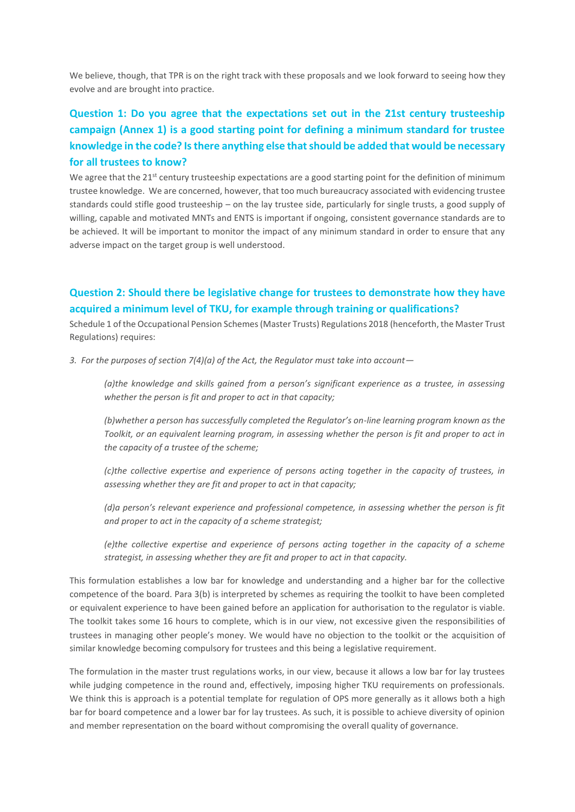We believe, though, that TPR is on the right track with these proposals and we look forward to seeing how they evolve and are brought into practice.

### **Question 1: Do you agree that the expectations set out in the 21st century trusteeship campaign (Annex 1) is a good starting point for defining a minimum standard for trustee knowledge in the code? Is there anything else that should be added that would be necessary for all trustees to know?**

We agree that the  $21^{st}$  century trusteeship expectations are a good starting point for the definition of minimum trustee knowledge. We are concerned, however, that too much bureaucracy associated with evidencing trustee standards could stifle good trusteeship – on the lay trustee side, particularly for single trusts, a good supply of willing, capable and motivated MNTs and ENTS is important if ongoing, consistent governance standards are to be achieved. It will be important to monitor the impact of any minimum standard in order to ensure that any adverse impact on the target group is well understood.

### **Question 2: Should there be legislative change for trustees to demonstrate how they have acquired a minimum level of TKU, for example through training or qualifications?**

Schedule 1 of the Occupational Pension Schemes (Master Trusts) Regulations 2018 (henceforth, the Master Trust Regulations) requires:

*3. For the purposes of section 7(4)(a) of the Act, the Regulator must take into account—*

*(a)the knowledge and skills gained from a person's significant experience as a trustee, in assessing whether the person is fit and proper to act in that capacity;*

*(b)whether a person has successfully completed the Regulator's on-line learning program known as the Toolkit, or an equivalent learning program, in assessing whether the person is fit and proper to act in the capacity of a trustee of the scheme;*

*(c)the collective expertise and experience of persons acting together in the capacity of trustees, in assessing whether they are fit and proper to act in that capacity;*

*(d)a person's relevant experience and professional competence, in assessing whether the person is fit and proper to act in the capacity of a scheme strategist;*

*(e)the collective expertise and experience of persons acting together in the capacity of a scheme strategist, in assessing whether they are fit and proper to act in that capacity.*

This formulation establishes a low bar for knowledge and understanding and a higher bar for the collective competence of the board. Para 3(b) is interpreted by schemes as requiring the toolkit to have been completed or equivalent experience to have been gained before an application for authorisation to the regulator is viable. The toolkit takes some 16 hours to complete, which is in our view, not excessive given the responsibilities of trustees in managing other people's money. We would have no objection to the toolkit or the acquisition of similar knowledge becoming compulsory for trustees and this being a legislative requirement.

The formulation in the master trust regulations works, in our view, because it allows a low bar for lay trustees while judging competence in the round and, effectively, imposing higher TKU requirements on professionals. We think this is approach is a potential template for regulation of OPS more generally as it allows both a high bar for board competence and a lower bar for lay trustees. As such, it is possible to achieve diversity of opinion and member representation on the board without compromising the overall quality of governance.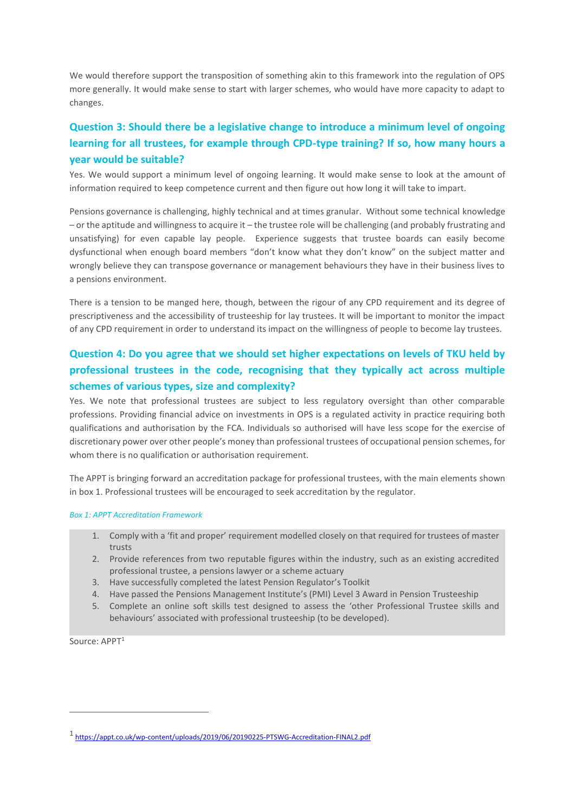We would therefore support the transposition of something akin to this framework into the regulation of OPS more generally. It would make sense to start with larger schemes, who would have more capacity to adapt to changes.

## **Question 3: Should there be a legislative change to introduce a minimum level of ongoing learning for all trustees, for example through CPD-type training? If so, how many hours a year would be suitable?**

Yes. We would support a minimum level of ongoing learning. It would make sense to look at the amount of information required to keep competence current and then figure out how long it will take to impart.

Pensions governance is challenging, highly technical and at times granular. Without some technical knowledge – or the aptitude and willingness to acquire it – the trustee role will be challenging (and probably frustrating and unsatisfying) for even capable lay people. Experience suggests that trustee boards can easily become dysfunctional when enough board members "don't know what they don't know" on the subject matter and wrongly believe they can transpose governance or management behaviours they have in their business lives to a pensions environment.

There is a tension to be manged here, though, between the rigour of any CPD requirement and its degree of prescriptiveness and the accessibility of trusteeship for lay trustees. It will be important to monitor the impact of any CPD requirement in order to understand its impact on the willingness of people to become lay trustees.

## **Question 4: Do you agree that we should set higher expectations on levels of TKU held by professional trustees in the code, recognising that they typically act across multiple schemes of various types, size and complexity?**

Yes. We note that professional trustees are subject to less regulatory oversight than other comparable professions. Providing financial advice on investments in OPS is a regulated activity in practice requiring both qualifications and authorisation by the FCA. Individuals so authorised will have less scope for the exercise of discretionary power over other people's money than professional trustees of occupational pension schemes, for whom there is no qualification or authorisation requirement.

The APPT is bringing forward an accreditation package for professional trustees, with the main elements shown in box 1. Professional trustees will be encouraged to seek accreditation by the regulator.

#### *Box 1: APPT Accreditation Framework*

- 1. Comply with a 'fit and proper' requirement modelled closely on that required for trustees of master trusts
- 2. Provide references from two reputable figures within the industry, such as an existing accredited professional trustee, a pensions lawyer or a scheme actuary
- 3. Have successfully completed the latest Pension Regulator's Toolkit
- 4. Have passed the Pensions Management Institute's (PMI) Level 3 Award in Pension Trusteeship
- 5. Complete an online soft skills test designed to assess the 'other Professional Trustee skills and behaviours' associated with professional trusteeship (to be developed).

Source: APPT<sup>1</sup>

1

<sup>1</sup> <https://appt.co.uk/wp-content/uploads/2019/06/20190225-PTSWG-Accreditation-FINAL2.pdf>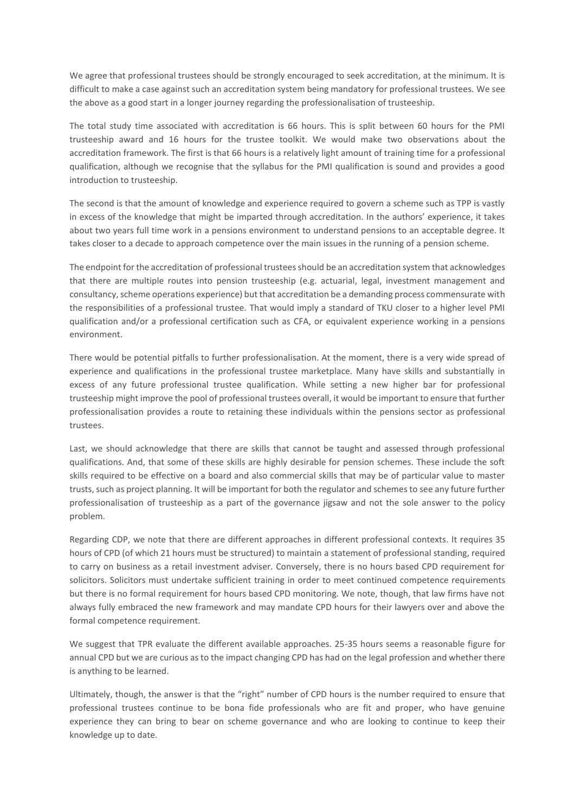We agree that professional trustees should be strongly encouraged to seek accreditation, at the minimum. It is difficult to make a case against such an accreditation system being mandatory for professional trustees. We see the above as a good start in a longer journey regarding the professionalisation of trusteeship.

The total study time associated with accreditation is 66 hours. This is split between 60 hours for the PMI trusteeship award and 16 hours for the trustee toolkit. We would make two observations about the accreditation framework. The first is that 66 hours is a relatively light amount of training time for a professional qualification, although we recognise that the syllabus for the PMI qualification is sound and provides a good introduction to trusteeship.

The second is that the amount of knowledge and experience required to govern a scheme such as TPP is vastly in excess of the knowledge that might be imparted through accreditation. In the authors' experience, it takes about two years full time work in a pensions environment to understand pensions to an acceptable degree. It takes closer to a decade to approach competence over the main issues in the running of a pension scheme.

The endpoint for the accreditation of professional trustees should be an accreditation system that acknowledges that there are multiple routes into pension trusteeship (e.g. actuarial, legal, investment management and consultancy, scheme operations experience) but that accreditation be a demanding process commensurate with the responsibilities of a professional trustee. That would imply a standard of TKU closer to a higher level PMI qualification and/or a professional certification such as CFA, or equivalent experience working in a pensions environment.

There would be potential pitfalls to further professionalisation. At the moment, there is a very wide spread of experience and qualifications in the professional trustee marketplace. Many have skills and substantially in excess of any future professional trustee qualification. While setting a new higher bar for professional trusteeship might improve the pool of professional trustees overall, it would be important to ensure that further professionalisation provides a route to retaining these individuals within the pensions sector as professional trustees.

Last, we should acknowledge that there are skills that cannot be taught and assessed through professional qualifications. And, that some of these skills are highly desirable for pension schemes. These include the soft skills required to be effective on a board and also commercial skills that may be of particular value to master trusts, such as project planning. It will be important for both the regulator and schemes to see any future further professionalisation of trusteeship as a part of the governance jigsaw and not the sole answer to the policy problem.

Regarding CDP, we note that there are different approaches in different professional contexts. It requires 35 hours of CPD (of which 21 hours must be structured) to maintain a statement of professional standing, required to carry on business as a retail investment adviser. Conversely, there is no hours based CPD requirement for solicitors. Solicitors must undertake sufficient training in order to meet continued competence requirements but there is no formal requirement for hours based CPD monitoring. We note, though, that law firms have not always fully embraced the new framework and may mandate CPD hours for their lawyers over and above the formal competence requirement.

We suggest that TPR evaluate the different available approaches. 25-35 hours seems a reasonable figure for annual CPD but we are curious as to the impact changing CPD has had on the legal profession and whether there is anything to be learned.

Ultimately, though, the answer is that the "right" number of CPD hours is the number required to ensure that professional trustees continue to be bona fide professionals who are fit and proper, who have genuine experience they can bring to bear on scheme governance and who are looking to continue to keep their knowledge up to date.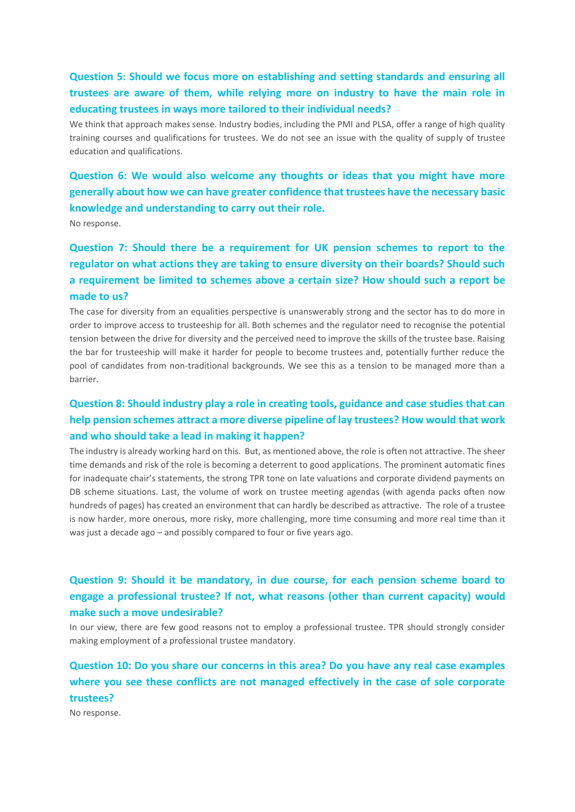### **Question 5: Should we focus more on establishing and setting standards and ensuring all trustees are aware of them, while relying more on industry to have the main role in educating trustees in ways more tailored to their individual needs?**

We think that approach makes sense. Industry bodies, including the PMI and PLSA, offer a range of high quality training courses and qualifications for trustees. We do not see an issue with the quality of supply of trustee education and qualifications.

## **Question 6: We would also welcome any thoughts or ideas that you might have more generally about how we can have greater confidence that trustees have the necessary basic knowledge and understanding to carry out their role.**

No response.

## **Question 7: Should there be a requirement for UK pension schemes to report to the regulator on what actions they are taking to ensure diversity on their boards? Should such a requirement be limited to schemes above a certain size? How should such a report be made to us?**

The case for diversity from an equalities perspective is unanswerably strong and the sector has to do more in order to improve access to trusteeship for all. Both schemes and the regulator need to recognise the potential tension between the drive for diversity and the perceived need to improve the skills of the trustee base. Raising the bar for trusteeship will make it harder for people to become trustees and, potentially further reduce the pool of candidates from non-traditional backgrounds. We see this as a tension to be managed more than a barrier.

## **Question 8: Should industry play a role in creating tools, guidance and case studies that can help pension schemes attract a more diverse pipeline of lay trustees? How would that work and who should take a lead in making it happen?**

The industry is already working hard on this. But, as mentioned above, the role is often not attractive. The sheer time demands and risk of the role is becoming a deterrent to good applications. The prominent automatic fines for inadequate chair's statements, the strong TPR tone on late valuations and corporate dividend payments on DB scheme situations. Last, the volume of work on trustee meeting agendas (with agenda packs often now hundreds of pages) has created an environment that can hardly be described as attractive. The role of a trustee is now harder, more onerous, more risky, more challenging, more time consuming and more real time than it was just a decade ago – and possibly compared to four or five years ago.

### **Question 9: Should it be mandatory, in due course, for each pension scheme board to engage a professional trustee? If not, what reasons (other than current capacity) would make such a move undesirable?**

In our view, there are few good reasons not to employ a professional trustee. TPR should strongly consider making employment of a professional trustee mandatory.

## **Question 10: Do you share our concerns in this area? Do you have any real case examples where you see these conflicts are not managed effectively in the case of sole corporate trustees?**

No response.